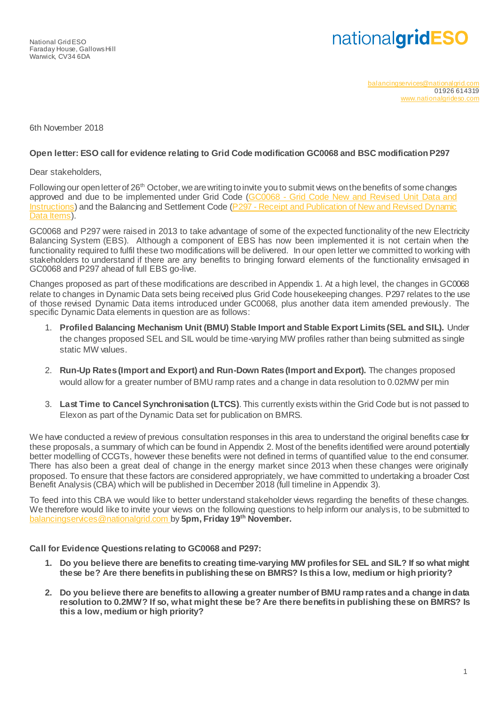# nationalgridESO

[balancingservices@nationalgrid.com](mailto:balancingservices@nationalgrid.com) 01926 614319 [www.nationalgrideso.com](http://www.nationalgrideso.com/)

6th November 2018

#### **Open letter: ESO call for evidence relating to Grid Code modification GC0068 and BSC modification P297**

Dear stakeholders,

Following our open letter of  $26<sup>th</sup>$  October, we are writing to invite you to submit views on the benefits of some changes approved and due to be implemented under Grid Code (GC0068 - Grid Code New and Revised Unit Data and [Instructions\)](https://www.nationalgrideso.com/codes/grid-code/modifications/gc0068-grid-code-new-and-revised-unit-data-and-instructions) and the Balancing and Settlement Code (P297 - [Receipt and Publication of New and Revised Dynamic](https://www.elexon.co.uk/mod-proposal/p297/)  [Data Items\)](https://www.elexon.co.uk/mod-proposal/p297/).

GC0068 and P297 were raised in 2013 to take advantage of some of the expected functionality of the new Electricity Balancing System (EBS). Although a component of EBS has now been implemented it is not certain when the functionality required to fulfil these two modifications will be delivered. In our open letter we committed to working with stakeholders to understand if there are any benefits to bringing forward elements of the functionality envisaged in GC0068 and P297 ahead of full EBS go-live.

Changes proposed as part of these modifications are described in Appendix 1. At a high level, the changes in GC0068 relate to changes in Dynamic Data sets being received plus Grid Code housekeeping changes. P297 relates to the use of those revised Dynamic Data items introduced under GC0068, plus another data item amended previously. The specific Dynamic Data elements in question are as follows:

- 1. **Profiled Balancing Mechanism Unit (BMU) Stable Import and Stable Export Limits (SEL and SIL).** Under the changes proposed SEL and SIL would be time-varying MW profiles rather than being submitted as single static MW values.
- 2. **Run-Up Rates (Import and Export) and Run-Down Rates(Import and Export).** The changes proposed would allow for a greater number of BMU ramp rates and a change in data resolution to 0.02MW per min
- 3. **Last Time to Cancel Synchronisation (LTCS)**. This currently exists within the Grid Code but is not passed to Elexon as part of the Dynamic Data set for publication on BMRS.

We have conducted a review of previous consultation responses in this area to understand the original benefits case for these proposals, a summary of which can be found in Appendix 2. Most of the benefits identified were around potentially better modelling of CCGTs, however these benefits were not defined in terms of quantified value to the end consumer. There has also been a great deal of change in the energy market since 2013 when these changes were originally proposed. To ensure that these factors are considered appropriately, we have committed to undertaking a broader Cost Benefit Analysis (CBA) which will be published in December 2018 (full timeline in Appendix 3).

To feed into this CBA we would like to better understand stakeholder views regarding the benefits of these changes. We therefore would like to invite your views on the following questions to help inform our analys is, to be submitted to [balancingservices@nationalgrid.com](mailto:balancingservices@nationalgrid.com) by **5pm, Friday 19th November.**

**Call for Evidence Questions relating to GC0068 and P297:**

- **1. Do you believe there are benefits to creating time-varying MW profiles for SEL and SIL? If so what might these be? Are there benefits in publishing these on BMRS? Is this a low, medium or high priority?**
- **2. Do you believe there are benefits to allowing a greater number of BMU ramp rates and a change in data resolution to 0.2MW? If so, what might these be? Are there benefits in publishing these on BMRS? Is this a low, medium or high priority?**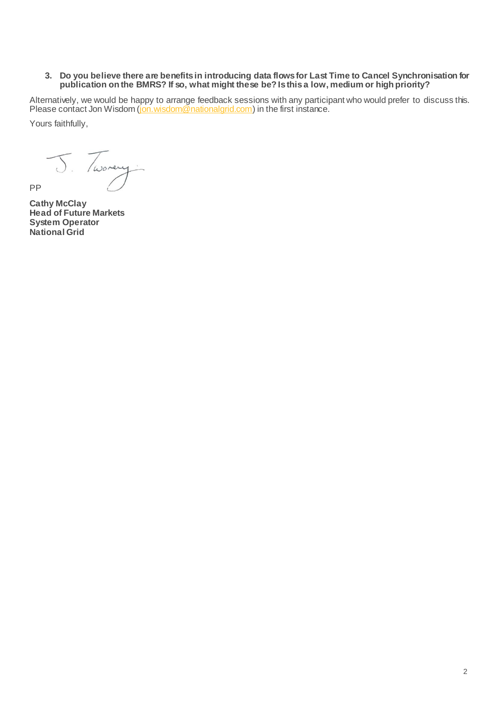#### **3. Do you believe there are benefits in introducing data flows for Last Time to Cancel Synchronisation for publication on the BMRS? If so, what might these be? Is this a low, medium or high priority?**

Alternatively, we would be happy to arrange feedback sessions with any participant who would prefer to discuss this. Please contact Jon Wisdom [\(jon.wisdom@nationalgrid.com](mailto:jon.wisdom@nationalgrid.com)) in the first instance.

Yours faithfully,

D. Tworey

**Cathy McClay Head of Future Markets System Operator National Grid**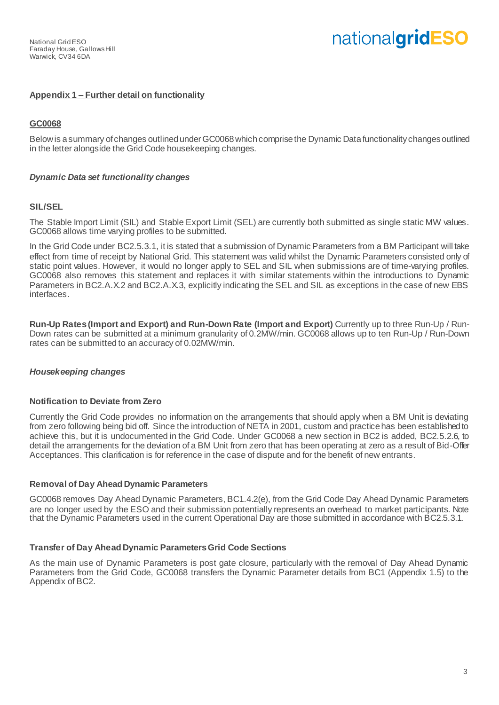# **Appendix 1 – Further detail on functionality**

# **GC0068**

Below is a summary of changes outlined under GC0068 which comprise the Dynamic Data functionality changes outlined in the letter alongside the Grid Code housekeeping changes.

#### *Dynamic Data set functionality changes*

#### **SIL/SEL**

The Stable Import Limit (SIL) and Stable Export Limit (SEL) are currently both submitted as single static MW values. GC0068 allows time varying profiles to be submitted.

In the Grid Code under BC2.5.3.1, it is stated that a submission of Dynamic Parameters from a BM Participant will take effect from time of receipt by National Grid. This statement was valid whilst the Dynamic Parameters consisted only of static point values. However, it would no longer apply to SEL and SIL when submissions are of time-varying profiles. GC0068 also removes this statement and replaces it with similar statements within the introductions to Dynamic Parameters in BC2.A.X.2 and BC2.A.X.3, explicitly indicating the SEL and SIL as exceptions in the case of new EBS interfaces.

**Run-Up Rates (Import and Export) and Run-Down Rate (Import and Export)** Currently up to three Run-Up / Run-Down rates can be submitted at a minimum granularity of 0.2MW/min. GC0068 allows up to ten Run-Up / Run-Down rates can be submitted to an accuracy of 0.02MW/min.

#### *Housekeeping changes*

#### **Notification to Deviate from Zero**

Currently the Grid Code provides no information on the arrangements that should apply when a BM Unit is deviating from zero following being bid off. Since the introduction of NETA in 2001, custom and practice has been established to achieve this, but it is undocumented in the Grid Code. Under GC0068 a new section in BC2 is added, BC2.5.2.6, to detail the arrangements for the deviation of a BM Unit from zero that has been operating at zero as a result of Bid-Offer Acceptances. This clarification is for reference in the case of dispute and for the benefit of new entrants.

#### **Removal of Day Ahead Dynamic Parameters**

GC0068 removes Day Ahead Dynamic Parameters, BC1.4.2(e), from the Grid Code Day Ahead Dynamic Parameters are no longer used by the ESO and their submission potentially represents an overhead to market participants. Note that the Dynamic Parameters used in the current Operational Day are those submitted in accordance with BC2.5.3.1.

#### **Transfer of Day Ahead Dynamic Parameters Grid Code Sections**

As the main use of Dynamic Parameters is post gate closure, particularly with the removal of Day Ahead Dynamic Parameters from the Grid Code, GC0068 transfers the Dynamic Parameter details from BC1 (Appendix 1.5) to the Appendix of BC2.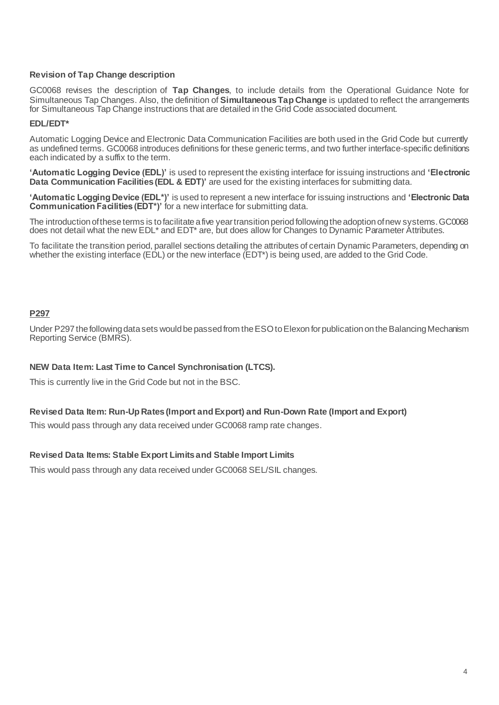#### **Revision of Tap Change description**

GC0068 revises the description of **Tap Changes**, to include details from the Operational Guidance Note for Simultaneous Tap Changes. Also, the definition of **Simultaneous Tap Change** is updated to reflect the arrangements for Simultaneous Tap Change instructions that are detailed in the Grid Code associated document.

#### **EDL/EDT\***

Automatic Logging Device and Electronic Data Communication Facilities are both used in the Grid Code but currently as undefined terms. GC0068 introduces definitions for these generic terms, and two further interface-specific definitions each indicated by a suffix to the term.

**'Automatic Logging Device (EDL)'** is used to represent the existing interface for issuing instructions and **'Electronic Data Communication Facilities (EDL & EDT)'** are used for the existing interfaces for submitting data.

**'Automatic Logging Device (EDL\*)'** is used to represent a new interface for issuing instructions and **'Electronic Data Communication Facilities (EDT\*)'** for a new interface for submitting data.

The introduction of these terms is to facilitate a five year transition period following the adoption of new systems. GC0068 does not detail what the new EDL\* and EDT\* are, but does allow for Changes to Dynamic Parameter Attributes.

To facilitate the transition period, parallel sections detailing the attributes of certain Dynamic Parameters, depending on whether the existing interface (EDL) or the new interface (EDT\*) is being used, are added to the Grid Code.

# **P297**

Under P297 the following data sets would be passed from the ESO to Elexon for publication on the Balancing Mechanism Reporting Service (BMRS).

#### **NEW Data Item: Last Time to Cancel Synchronisation (LTCS).**

This is currently live in the Grid Code but not in the BSC.

#### **Revised Data Item: Run-Up Rates (Import and Export) and Run-Down Rate (Import and Export)**

This would pass through any data received under GC0068 ramp rate changes.

#### **Revised Data Items: Stable Export Limits and Stable Import Limits**

This would pass through any data received under GC0068 SEL/SIL changes.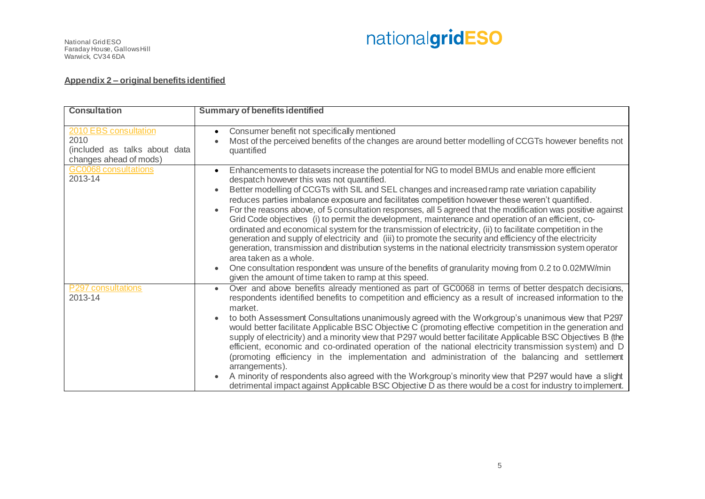National Grid ESO Faraday House, Gallows Hill Warwick, CV34 6DA



#### **Appendix 2 – original benefits identified**

| <b>Consultation</b>                                                                      | <b>Summary of benefits identified</b>                                                                                                                                                                                                                                                                                                                                                                                                                                                                                                                                                                                                                                                                                                                                                                                                                                                                                                                                                                                                                                                                                               |
|------------------------------------------------------------------------------------------|-------------------------------------------------------------------------------------------------------------------------------------------------------------------------------------------------------------------------------------------------------------------------------------------------------------------------------------------------------------------------------------------------------------------------------------------------------------------------------------------------------------------------------------------------------------------------------------------------------------------------------------------------------------------------------------------------------------------------------------------------------------------------------------------------------------------------------------------------------------------------------------------------------------------------------------------------------------------------------------------------------------------------------------------------------------------------------------------------------------------------------------|
| 2010 EBS consultation<br>2010<br>(included as talks about data<br>changes ahead of mods) | Consumer benefit not specifically mentioned<br>$\bullet$<br>Most of the perceived benefits of the changes are around better modelling of CCGTs however benefits not<br>quantified                                                                                                                                                                                                                                                                                                                                                                                                                                                                                                                                                                                                                                                                                                                                                                                                                                                                                                                                                   |
| <b>GC0068</b> consultations<br>2013-14                                                   | Enhancements to datasets increase the potential for NG to model BMUs and enable more efficient<br>despatch however this was not quantified.<br>Better modelling of CCGTs with SIL and SEL changes and increased ramp rate variation capability<br>reduces parties imbalance exposure and facilitates competition however these weren't quantified.<br>For the reasons above, of 5 consultation responses, all 5 agreed that the modification was positive against<br>$\bullet$<br>Grid Code objectives (i) to permit the development, maintenance and operation of an efficient, co-<br>ordinated and economical system for the transmission of electricity, (ii) to facilitate competition in the<br>generation and supply of electricity and (iii) to promote the security and efficiency of the electricity<br>generation, transmission and distribution systems in the national electricity transmission system operator<br>area taken as a whole.<br>One consultation respondent was unsure of the benefits of granularity moving from 0.2 to 0.02MW/min<br>$\bullet$<br>given the amount of time taken to ramp at this speed. |
| P297 consultations<br>2013-14                                                            | Over and above benefits already mentioned as part of GC0068 in terms of better despatch decisions,<br>respondents identified benefits to competition and efficiency as a result of increased information to the<br>market.<br>to both Assessment Consultations unanimously agreed with the Workgroup's unanimous view that P297<br>$\bullet$<br>would better facilitate Applicable BSC Objective C (promoting effective competition in the generation and<br>supply of electricity) and a minority view that P297 would better facilitate Applicable BSC Objectives B (the<br>efficient, economic and co-ordinated operation of the national electricity transmission system) and D<br>(promoting efficiency in the implementation and administration of the balancing and settlement<br>arrangements).<br>A minority of respondents also agreed with the Workgroup's minority view that P297 would have a slight<br>detrimental impact against Applicable BSC Objective D as there would be a cost for industry to implement.                                                                                                      |